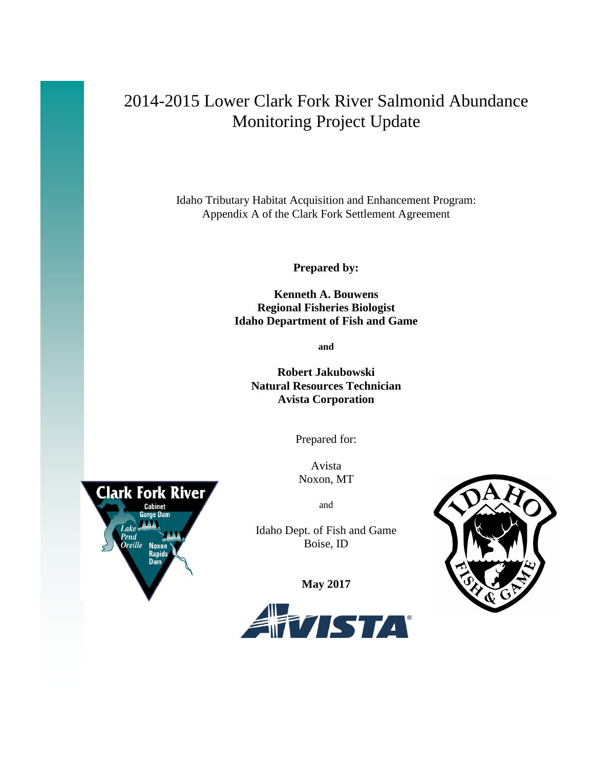# 2014-2015 Lower Clark Fork River Salmonid Abundance Monitoring Project Update

Idaho Tributary Habitat Acquisition and Enhancement Program: Appendix A of the Clark Fork Settlement Agreement

**Prepared by:**

**Kenneth A. Bouwens Regional Fisheries Biologist Idaho Department of Fish and Game**

**and**

**Robert Jakubowski Natural Resources Technician Avista Corporation**

Prepared for:

Avista Noxon, MT

and

Idaho Dept. of Fish and Game Boise, ID

**May 2017**





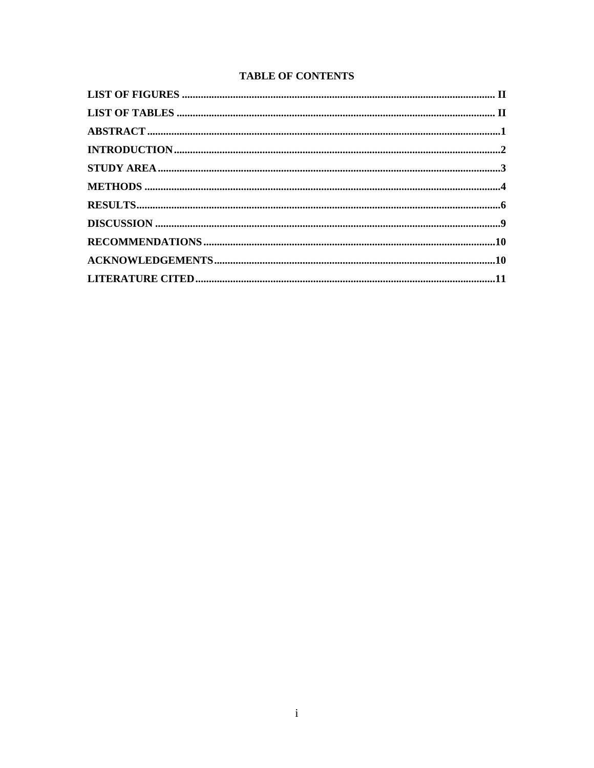# **TABLE OF CONTENTS**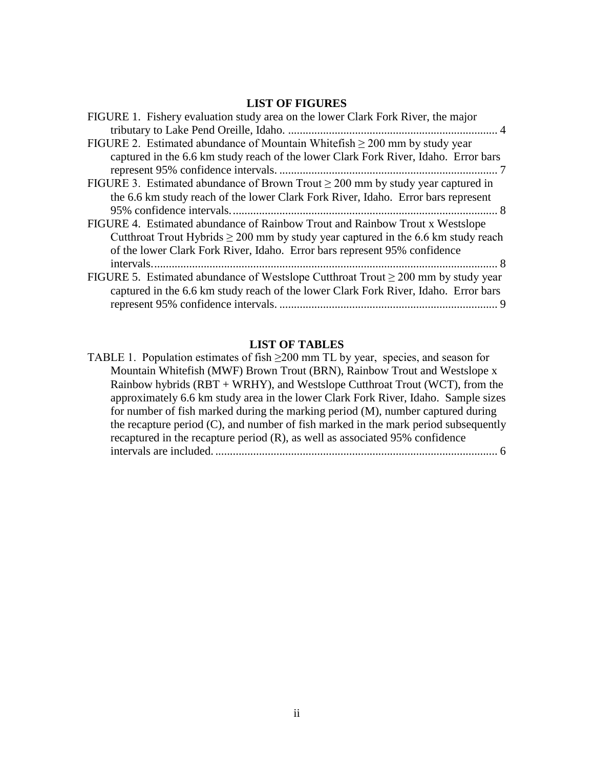# **LIST OF FIGURES**

<span id="page-2-0"></span>

| FIGURE 1. Fishery evaluation study area on the lower Clark Fork River, the major       |
|----------------------------------------------------------------------------------------|
|                                                                                        |
| FIGURE 2. Estimated abundance of Mountain Whitefish $\geq$ 200 mm by study year        |
| captured in the 6.6 km study reach of the lower Clark Fork River, Idaho. Error bars    |
|                                                                                        |
| FIGURE 3. Estimated abundance of Brown Trout $\geq 200$ mm by study year captured in   |
| the 6.6 km study reach of the lower Clark Fork River, Idaho. Error bars represent      |
|                                                                                        |
| FIGURE 4. Estimated abundance of Rainbow Trout and Rainbow Trout x Westslope           |
| Cutthroat Trout Hybrids $\geq 200$ mm by study year captured in the 6.6 km study reach |
| of the lower Clark Fork River, Idaho. Error bars represent 95% confidence              |
|                                                                                        |
| FIGURE 5. Estimated abundance of Westslope Cutthroat Trout $\geq 200$ mm by study year |
| captured in the 6.6 km study reach of the lower Clark Fork River, Idaho. Error bars    |
|                                                                                        |

# **LIST OF TABLES**

<span id="page-2-1"></span>

| TABLE 1. Population estimates of fish $\geq$ 200 mm TL by year, species, and season for |
|-----------------------------------------------------------------------------------------|
| Mountain Whitefish (MWF) Brown Trout (BRN), Rainbow Trout and Westslope x               |
| Rainbow hybrids (RBT + WRHY), and Westslope Cutthroat Trout (WCT), from the             |
| approximately 6.6 km study area in the lower Clark Fork River, Idaho. Sample sizes      |
| for number of fish marked during the marking period (M), number captured during         |
| the recapture period (C), and number of fish marked in the mark period subsequently     |
| recaptured in the recapture period (R), as well as associated 95% confidence            |
|                                                                                         |
|                                                                                         |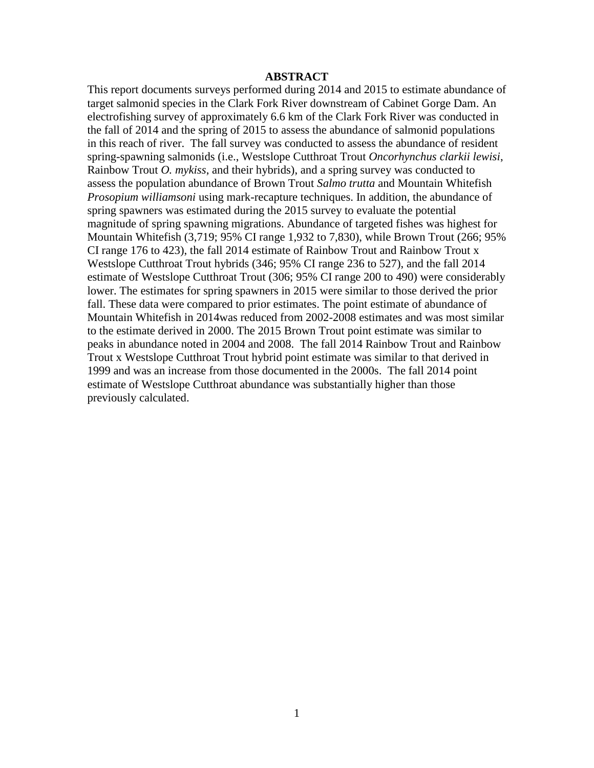## **ABSTRACT**

<span id="page-3-0"></span>This report documents surveys performed during 2014 and 2015 to estimate abundance of target salmonid species in the Clark Fork River downstream of Cabinet Gorge Dam. An electrofishing survey of approximately 6.6 km of the Clark Fork River was conducted in the fall of 2014 and the spring of 2015 to assess the abundance of salmonid populations in this reach of river. The fall survey was conducted to assess the abundance of resident spring-spawning salmonids (i.e., Westslope Cutthroat Trout *Oncorhynchus clarkii lewisi*, Rainbow Trout *O. mykiss*, and their hybrids), and a spring survey was conducted to assess the population abundance of Brown Trout *Salmo trutta* and Mountain Whitefish *Prosopium williamsoni* using mark-recapture techniques. In addition, the abundance of spring spawners was estimated during the 2015 survey to evaluate the potential magnitude of spring spawning migrations. Abundance of targeted fishes was highest for Mountain Whitefish (3,719; 95% CI range 1,932 to 7,830), while Brown Trout (266; 95% CI range 176 to 423), the fall 2014 estimate of Rainbow Trout and Rainbow Trout x Westslope Cutthroat Trout hybrids (346; 95% CI range 236 to 527), and the fall 2014 estimate of Westslope Cutthroat Trout (306; 95% CI range 200 to 490) were considerably lower. The estimates for spring spawners in 2015 were similar to those derived the prior fall. These data were compared to prior estimates. The point estimate of abundance of Mountain Whitefish in 2014was reduced from 2002-2008 estimates and was most similar to the estimate derived in 2000. The 2015 Brown Trout point estimate was similar to peaks in abundance noted in 2004 and 2008. The fall 2014 Rainbow Trout and Rainbow Trout x Westslope Cutthroat Trout hybrid point estimate was similar to that derived in 1999 and was an increase from those documented in the 2000s. The fall 2014 point estimate of Westslope Cutthroat abundance was substantially higher than those previously calculated.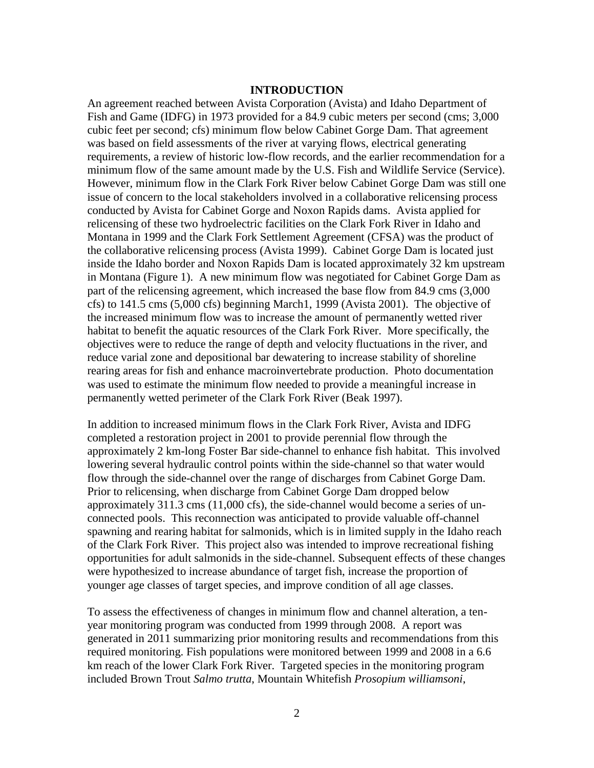## **INTRODUCTION**

<span id="page-4-0"></span>An agreement reached between Avista Corporation (Avista) and Idaho Department of Fish and Game (IDFG) in 1973 provided for a 84.9 cubic meters per second (cms; 3,000 cubic feet per second; cfs) minimum flow below Cabinet Gorge Dam. That agreement was based on field assessments of the river at varying flows, electrical generating requirements, a review of historic low-flow records, and the earlier recommendation for a minimum flow of the same amount made by the U.S. Fish and Wildlife Service (Service). However, minimum flow in the Clark Fork River below Cabinet Gorge Dam was still one issue of concern to the local stakeholders involved in a collaborative relicensing process conducted by Avista for Cabinet Gorge and Noxon Rapids dams. Avista applied for relicensing of these two hydroelectric facilities on the Clark Fork River in Idaho and Montana in 1999 and the Clark Fork Settlement Agreement (CFSA) was the product of the collaborative relicensing process (Avista 1999). Cabinet Gorge Dam is located just inside the Idaho border and Noxon Rapids Dam is located approximately 32 km upstream in Montana (Figure 1). A new minimum flow was negotiated for Cabinet Gorge Dam as part of the relicensing agreement, which increased the base flow from 84.9 cms (3,000 cfs) to 141.5 cms (5,000 cfs) beginning March1, 1999 (Avista 2001). The objective of the increased minimum flow was to increase the amount of permanently wetted river habitat to benefit the aquatic resources of the Clark Fork River. More specifically, the objectives were to reduce the range of depth and velocity fluctuations in the river, and reduce varial zone and depositional bar dewatering to increase stability of shoreline rearing areas for fish and enhance macroinvertebrate production. Photo documentation was used to estimate the minimum flow needed to provide a meaningful increase in permanently wetted perimeter of the Clark Fork River (Beak 1997).

In addition to increased minimum flows in the Clark Fork River, Avista and IDFG completed a restoration project in 2001 to provide perennial flow through the approximately 2 km-long Foster Bar side-channel to enhance fish habitat. This involved lowering several hydraulic control points within the side-channel so that water would flow through the side-channel over the range of discharges from Cabinet Gorge Dam. Prior to relicensing, when discharge from Cabinet Gorge Dam dropped below approximately 311.3 cms (11,000 cfs), the side-channel would become a series of unconnected pools. This reconnection was anticipated to provide valuable off-channel spawning and rearing habitat for salmonids, which is in limited supply in the Idaho reach of the Clark Fork River. This project also was intended to improve recreational fishing opportunities for adult salmonids in the side-channel. Subsequent effects of these changes were hypothesized to increase abundance of target fish, increase the proportion of younger age classes of target species, and improve condition of all age classes.

To assess the effectiveness of changes in minimum flow and channel alteration, a tenyear monitoring program was conducted from 1999 through 2008. A report was generated in 2011 summarizing prior monitoring results and recommendations from this required monitoring. Fish populations were monitored between 1999 and 2008 in a 6.6 km reach of the lower Clark Fork River. Targeted species in the monitoring program included Brown Trout *Salmo trutta*, Mountain Whitefish *Prosopium williamsoni*,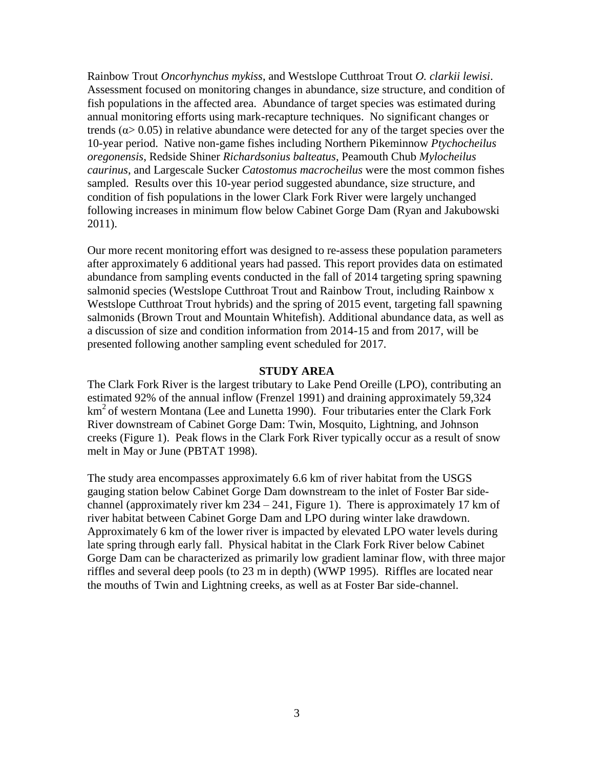Rainbow Trout *Oncorhynchus mykiss*, and Westslope Cutthroat Trout *O. clarkii lewisi*. Assessment focused on monitoring changes in abundance, size structure, and condition of fish populations in the affected area. Abundance of target species was estimated during annual monitoring efforts using mark-recapture techniques. No significant changes or trends ( $\alpha$  > 0.05) in relative abundance were detected for any of the target species over the 10-year period. Native non-game fishes including Northern Pikeminnow *Ptychocheilus oregonensis*, Redside Shiner *Richardsonius balteatus*, Peamouth Chub *Mylocheilus caurinus*, and Largescale Sucker *Catostomus macrocheilus* were the most common fishes sampled. Results over this 10-year period suggested abundance, size structure, and condition of fish populations in the lower Clark Fork River were largely unchanged following increases in minimum flow below Cabinet Gorge Dam (Ryan and Jakubowski 2011).

Our more recent monitoring effort was designed to re-assess these population parameters after approximately 6 additional years had passed. This report provides data on estimated abundance from sampling events conducted in the fall of 2014 targeting spring spawning salmonid species (Westslope Cutthroat Trout and Rainbow Trout, including Rainbow x Westslope Cutthroat Trout hybrids) and the spring of 2015 event, targeting fall spawning salmonids (Brown Trout and Mountain Whitefish). Additional abundance data, as well as a discussion of size and condition information from 2014-15 and from 2017, will be presented following another sampling event scheduled for 2017.

#### **STUDY AREA**

<span id="page-5-0"></span>The Clark Fork River is the largest tributary to Lake Pend Oreille (LPO), contributing an estimated 92% of the annual inflow (Frenzel 1991) and draining approximately 59,324  $km<sup>2</sup>$  of western Montana (Lee and Lunetta 1990). Four tributaries enter the Clark Fork River downstream of Cabinet Gorge Dam: Twin, Mosquito, Lightning, and Johnson creeks (Figure 1). Peak flows in the Clark Fork River typically occur as a result of snow melt in May or June (PBTAT 1998).

The study area encompasses approximately 6.6 km of river habitat from the USGS gauging station below Cabinet Gorge Dam downstream to the inlet of Foster Bar sidechannel (approximately river km  $234 - 241$ , Figure 1). There is approximately 17 km of river habitat between Cabinet Gorge Dam and LPO during winter lake drawdown. Approximately 6 km of the lower river is impacted by elevated LPO water levels during late spring through early fall. Physical habitat in the Clark Fork River below Cabinet Gorge Dam can be characterized as primarily low gradient laminar flow, with three major riffles and several deep pools (to 23 m in depth) (WWP 1995). Riffles are located near the mouths of Twin and Lightning creeks, as well as at Foster Bar side-channel.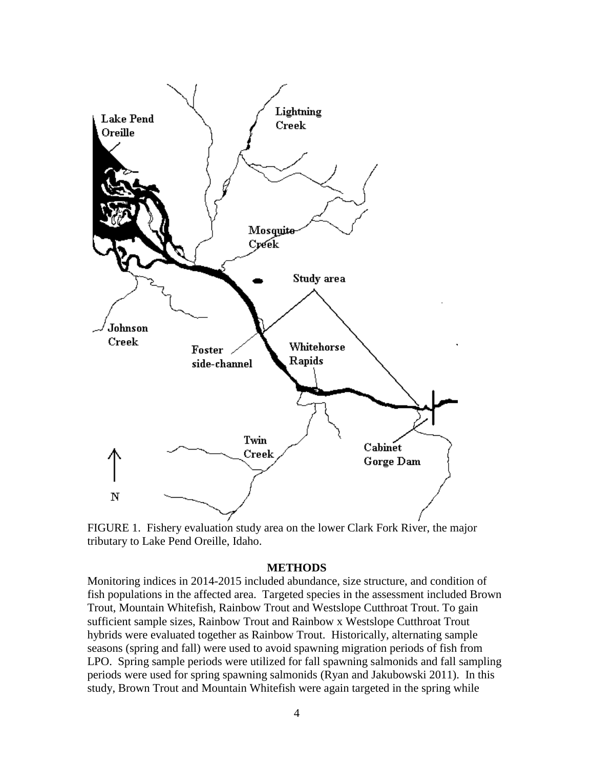

<span id="page-6-1"></span>FIGURE 1. Fishery evaluation study area on the lower Clark Fork River, the major tributary to Lake Pend Oreille, Idaho.

## **METHODS**

<span id="page-6-0"></span>Monitoring indices in 2014-2015 included abundance, size structure, and condition of fish populations in the affected area. Targeted species in the assessment included Brown Trout, Mountain Whitefish, Rainbow Trout and Westslope Cutthroat Trout. To gain sufficient sample sizes, Rainbow Trout and Rainbow x Westslope Cutthroat Trout hybrids were evaluated together as Rainbow Trout. Historically, alternating sample seasons (spring and fall) were used to avoid spawning migration periods of fish from LPO. Spring sample periods were utilized for fall spawning salmonids and fall sampling periods were used for spring spawning salmonids (Ryan and Jakubowski 2011). In this study, Brown Trout and Mountain Whitefish were again targeted in the spring while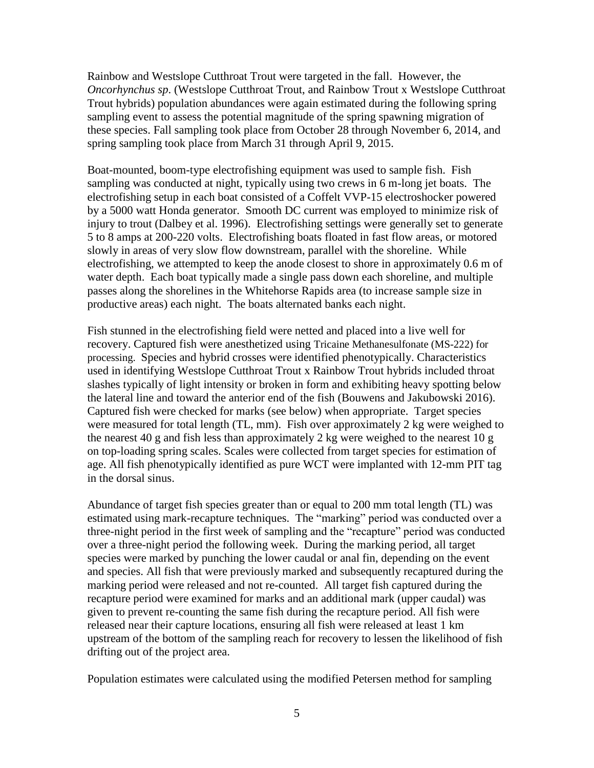Rainbow and Westslope Cutthroat Trout were targeted in the fall. However, the *Oncorhynchus sp*. (Westslope Cutthroat Trout, and Rainbow Trout x Westslope Cutthroat Trout hybrids) population abundances were again estimated during the following spring sampling event to assess the potential magnitude of the spring spawning migration of these species. Fall sampling took place from October 28 through November 6, 2014, and spring sampling took place from March 31 through April 9, 2015.

Boat-mounted, boom-type electrofishing equipment was used to sample fish. Fish sampling was conducted at night, typically using two crews in 6 m-long jet boats. The electrofishing setup in each boat consisted of a Coffelt VVP-15 electroshocker powered by a 5000 watt Honda generator. Smooth DC current was employed to minimize risk of injury to trout (Dalbey et al. 1996). Electrofishing settings were generally set to generate 5 to 8 amps at 200-220 volts. Electrofishing boats floated in fast flow areas, or motored slowly in areas of very slow flow downstream, parallel with the shoreline. While electrofishing, we attempted to keep the anode closest to shore in approximately 0.6 m of water depth. Each boat typically made a single pass down each shoreline, and multiple passes along the shorelines in the Whitehorse Rapids area (to increase sample size in productive areas) each night. The boats alternated banks each night.

Fish stunned in the electrofishing field were netted and placed into a live well for recovery. Captured fish were anesthetized using Tricaine Methanesulfonate (MS-222) for processing. Species and hybrid crosses were identified phenotypically. Characteristics used in identifying Westslope Cutthroat Trout x Rainbow Trout hybrids included throat slashes typically of light intensity or broken in form and exhibiting heavy spotting below the lateral line and toward the anterior end of the fish (Bouwens and Jakubowski 2016). Captured fish were checked for marks (see below) when appropriate. Target species were measured for total length (TL, mm). Fish over approximately 2 kg were weighed to the nearest 40 g and fish less than approximately 2 kg were weighed to the nearest 10 g on top-loading spring scales. Scales were collected from target species for estimation of age. All fish phenotypically identified as pure WCT were implanted with 12-mm PIT tag in the dorsal sinus.

Abundance of target fish species greater than or equal to 200 mm total length (TL) was estimated using mark-recapture techniques. The "marking" period was conducted over a three-night period in the first week of sampling and the "recapture" period was conducted over a three-night period the following week. During the marking period, all target species were marked by punching the lower caudal or anal fin, depending on the event and species. All fish that were previously marked and subsequently recaptured during the marking period were released and not re-counted. All target fish captured during the recapture period were examined for marks and an additional mark (upper caudal) was given to prevent re-counting the same fish during the recapture period. All fish were released near their capture locations, ensuring all fish were released at least 1 km upstream of the bottom of the sampling reach for recovery to lessen the likelihood of fish drifting out of the project area.

Population estimates were calculated using the modified Petersen method for sampling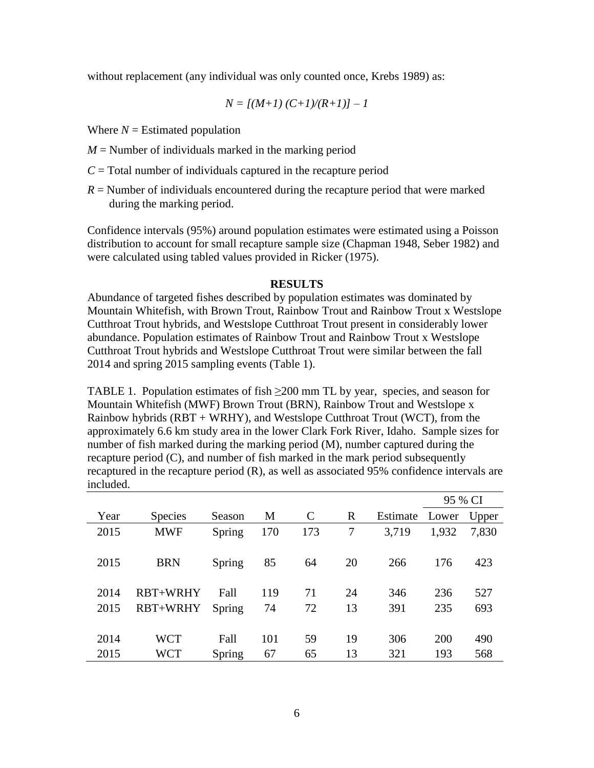without replacement (any individual was only counted once, Krebs 1989) as:

$$
N = [(M+1) (C+1)/(R+1)] - 1
$$

Where  $N =$  Estimated population

- $M =$  Number of individuals marked in the marking period
- $C =$ Total number of individuals captured in the recapture period
- *R* = Number of individuals encountered during the recapture period that were marked during the marking period.

Confidence intervals (95%) around population estimates were estimated using a Poisson distribution to account for small recapture sample size (Chapman 1948, Seber 1982) and were calculated using tabled values provided in Ricker (1975).

#### **RESULTS**

<span id="page-8-0"></span>Abundance of targeted fishes described by population estimates was dominated by Mountain Whitefish, with Brown Trout, Rainbow Trout and Rainbow Trout x Westslope Cutthroat Trout hybrids, and Westslope Cutthroat Trout present in considerably lower abundance. Population estimates of Rainbow Trout and Rainbow Trout x Westslope Cutthroat Trout hybrids and Westslope Cutthroat Trout were similar between the fall 2014 and spring 2015 sampling events (Table 1).

<span id="page-8-1"></span>TABLE 1. Population estimates of fish  $\geq 200$  mm TL by year, species, and season for Mountain Whitefish (MWF) Brown Trout (BRN), Rainbow Trout and Westslope x Rainbow hybrids (RBT + WRHY), and Westslope Cutthroat Trout (WCT), from the approximately 6.6 km study area in the lower Clark Fork River, Idaho. Sample sizes for number of fish marked during the marking period (M), number captured during the recapture period (C), and number of fish marked in the mark period subsequently recaptured in the recapture period (R), as well as associated 95% confidence intervals are included.

|      |                |        |     |              |    |          | 95 % CI |       |
|------|----------------|--------|-----|--------------|----|----------|---------|-------|
| Year | <b>Species</b> | Season | M   | $\mathsf{C}$ | R  | Estimate | Lower   | Upper |
| 2015 | <b>MWF</b>     | Spring | 170 | 173          | 7  | 3,719    | 1,932   | 7,830 |
|      |                |        |     |              |    |          |         |       |
| 2015 | <b>BRN</b>     | Spring | 85  | 64           | 20 | 266      | 176     | 423   |
|      |                |        |     |              |    |          |         |       |
| 2014 | RBT+WRHY       | Fall   | 119 | 71           | 24 | 346      | 236     | 527   |
| 2015 | RBT+WRHY       | Spring | 74  | 72           | 13 | 391      | 235     | 693   |
|      |                |        |     |              |    |          |         |       |
| 2014 | <b>WCT</b>     | Fall   | 101 | 59           | 19 | 306      | 200     | 490   |
| 2015 | <b>WCT</b>     | Spring | 67  | 65           | 13 | 321      | 193     | 568   |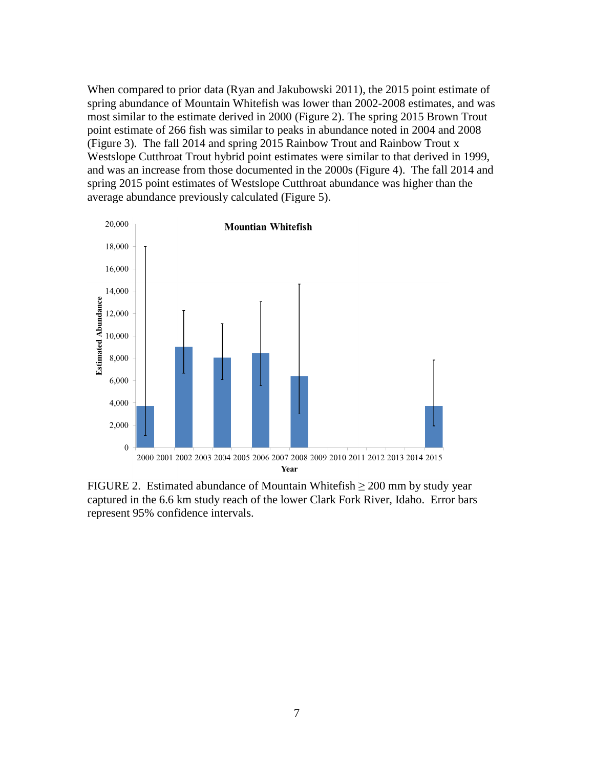When compared to prior data (Ryan and Jakubowski 2011), the 2015 point estimate of spring abundance of Mountain Whitefish was lower than 2002-2008 estimates, and was most similar to the estimate derived in 2000 (Figure 2). The spring 2015 Brown Trout point estimate of 266 fish was similar to peaks in abundance noted in 2004 and 2008 (Figure 3). The fall 2014 and spring 2015 Rainbow Trout and Rainbow Trout x Westslope Cutthroat Trout hybrid point estimates were similar to that derived in 1999, and was an increase from those documented in the 2000s (Figure 4). The fall 2014 and spring 2015 point estimates of Westslope Cutthroat abundance was higher than the average abundance previously calculated (Figure 5).



<span id="page-9-0"></span>FIGURE 2. Estimated abundance of Mountain Whitefish  $\geq 200$  mm by study year captured in the 6.6 km study reach of the lower Clark Fork River, Idaho. Error bars represent 95% confidence intervals.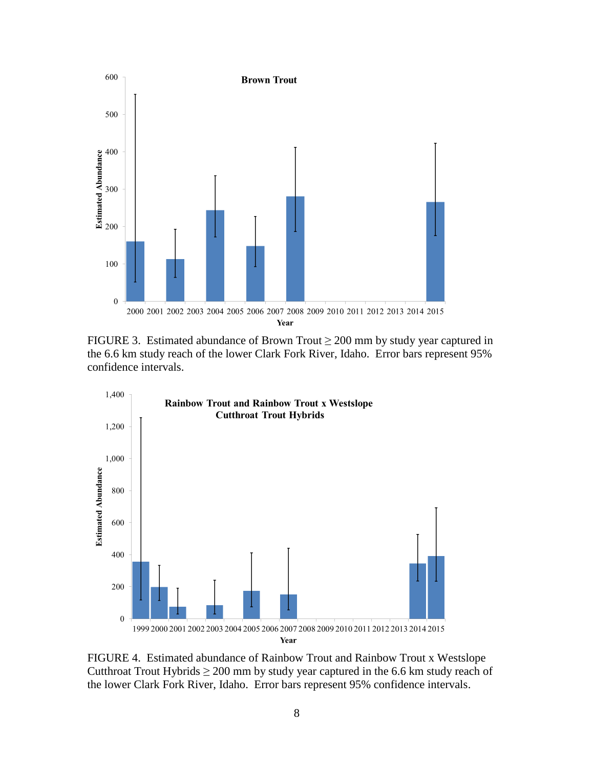

<span id="page-10-0"></span>FIGURE 3. Estimated abundance of Brown Trout  $\geq 200$  mm by study year captured in the 6.6 km study reach of the lower Clark Fork River, Idaho. Error bars represent 95% confidence intervals.



<span id="page-10-1"></span>FIGURE 4. Estimated abundance of Rainbow Trout and Rainbow Trout x Westslope Cutthroat Trout Hybrids  $\geq 200$  mm by study year captured in the 6.6 km study reach of the lower Clark Fork River, Idaho. Error bars represent 95% confidence intervals.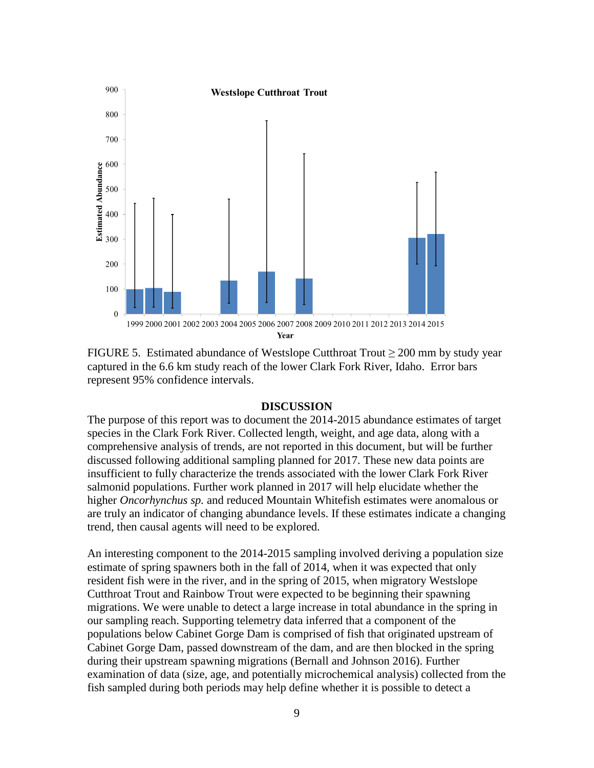

<span id="page-11-1"></span>FIGURE 5. Estimated abundance of Westslope Cutthroat Trout ≥ 200 mm by study year captured in the 6.6 km study reach of the lower Clark Fork River, Idaho. Error bars represent 95% confidence intervals.

## **DISCUSSION**

<span id="page-11-0"></span>The purpose of this report was to document the 2014-2015 abundance estimates of target species in the Clark Fork River. Collected length, weight, and age data, along with a comprehensive analysis of trends, are not reported in this document, but will be further discussed following additional sampling planned for 2017. These new data points are insufficient to fully characterize the trends associated with the lower Clark Fork River salmonid populations. Further work planned in 2017 will help elucidate whether the higher *Oncorhynchus sp.* and reduced Mountain Whitefish estimates were anomalous or are truly an indicator of changing abundance levels. If these estimates indicate a changing trend, then causal agents will need to be explored.

An interesting component to the 2014-2015 sampling involved deriving a population size estimate of spring spawners both in the fall of 2014, when it was expected that only resident fish were in the river, and in the spring of 2015, when migratory Westslope Cutthroat Trout and Rainbow Trout were expected to be beginning their spawning migrations. We were unable to detect a large increase in total abundance in the spring in our sampling reach. Supporting telemetry data inferred that a component of the populations below Cabinet Gorge Dam is comprised of fish that originated upstream of Cabinet Gorge Dam, passed downstream of the dam, and are then blocked in the spring during their upstream spawning migrations (Bernall and Johnson 2016). Further examination of data (size, age, and potentially microchemical analysis) collected from the fish sampled during both periods may help define whether it is possible to detect a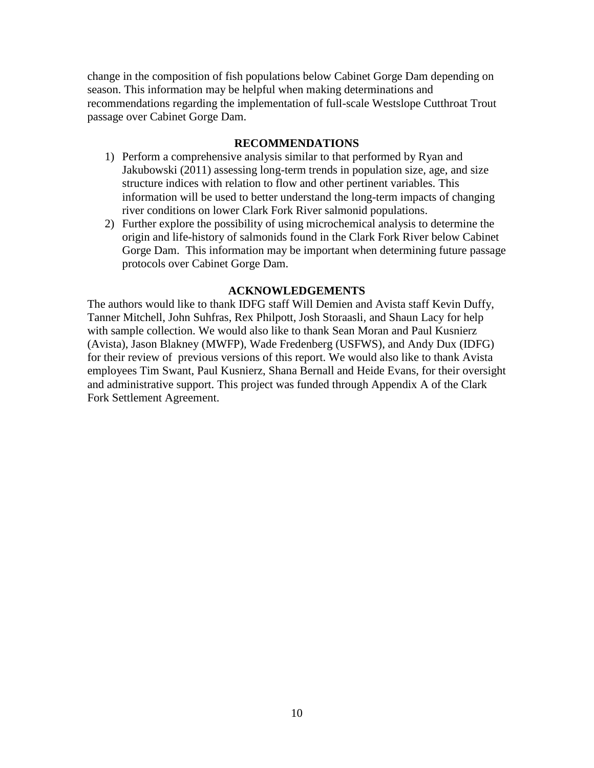change in the composition of fish populations below Cabinet Gorge Dam depending on season. This information may be helpful when making determinations and recommendations regarding the implementation of full-scale Westslope Cutthroat Trout passage over Cabinet Gorge Dam.

# **RECOMMENDATIONS**

- <span id="page-12-0"></span>1) Perform a comprehensive analysis similar to that performed by Ryan and Jakubowski (2011) assessing long-term trends in population size, age, and size structure indices with relation to flow and other pertinent variables. This information will be used to better understand the long-term impacts of changing river conditions on lower Clark Fork River salmonid populations.
- 2) Further explore the possibility of using microchemical analysis to determine the origin and life-history of salmonids found in the Clark Fork River below Cabinet Gorge Dam. This information may be important when determining future passage protocols over Cabinet Gorge Dam.

# **ACKNOWLEDGEMENTS**

<span id="page-12-1"></span>The authors would like to thank IDFG staff Will Demien and Avista staff Kevin Duffy, Tanner Mitchell, John Suhfras, Rex Philpott, Josh Storaasli, and Shaun Lacy for help with sample collection. We would also like to thank Sean Moran and Paul Kusnierz (Avista), Jason Blakney (MWFP), Wade Fredenberg (USFWS), and Andy Dux (IDFG) for their review of previous versions of this report. We would also like to thank Avista employees Tim Swant, Paul Kusnierz, Shana Bernall and Heide Evans, for their oversight and administrative support. This project was funded through Appendix A of the Clark Fork Settlement Agreement.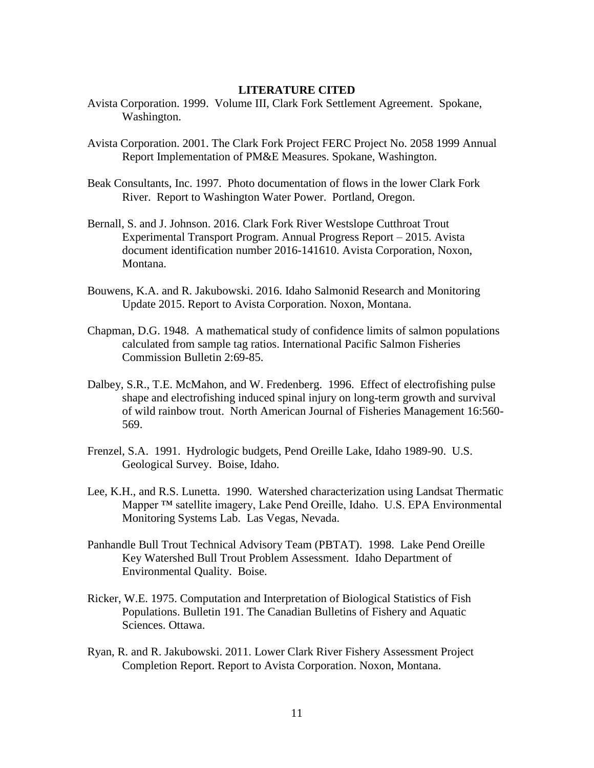## **LITERATURE CITED**

- <span id="page-13-0"></span>Avista Corporation. 1999. Volume III, Clark Fork Settlement Agreement. Spokane, Washington.
- Avista Corporation. 2001. The Clark Fork Project FERC Project No. 2058 1999 Annual Report Implementation of PM&E Measures. Spokane, Washington.
- Beak Consultants, Inc. 1997. Photo documentation of flows in the lower Clark Fork River. Report to Washington Water Power. Portland, Oregon.
- Bernall, S. and J. Johnson. 2016. Clark Fork River Westslope Cutthroat Trout Experimental Transport Program. Annual Progress Report – 2015. Avista document identification number 2016-141610. Avista Corporation, Noxon, Montana.
- Bouwens, K.A. and R. Jakubowski. 2016. Idaho Salmonid Research and Monitoring Update 2015. Report to Avista Corporation. Noxon, Montana.
- Chapman, D.G. 1948. A mathematical study of confidence limits of salmon populations calculated from sample tag ratios. International Pacific Salmon Fisheries Commission Bulletin 2:69-85.
- Dalbey, S.R., T.E. McMahon, and W. Fredenberg. 1996. Effect of electrofishing pulse shape and electrofishing induced spinal injury on long-term growth and survival of wild rainbow trout. North American Journal of Fisheries Management 16:560- 569.
- Frenzel, S.A. 1991. Hydrologic budgets, Pend Oreille Lake, Idaho 1989-90. U.S. Geological Survey. Boise, Idaho.
- Lee, K.H., and R.S. Lunetta. 1990. Watershed characterization using Landsat Thermatic Mapper ™ satellite imagery, Lake Pend Oreille, Idaho. U.S. EPA Environmental Monitoring Systems Lab. Las Vegas, Nevada.
- Panhandle Bull Trout Technical Advisory Team (PBTAT). 1998. Lake Pend Oreille Key Watershed Bull Trout Problem Assessment. Idaho Department of Environmental Quality. Boise.
- Ricker, W.E. 1975. Computation and Interpretation of Biological Statistics of Fish Populations. Bulletin 191. The Canadian Bulletins of Fishery and Aquatic Sciences. Ottawa.
- Ryan, R. and R. Jakubowski. 2011. Lower Clark River Fishery Assessment Project Completion Report. Report to Avista Corporation. Noxon, Montana.